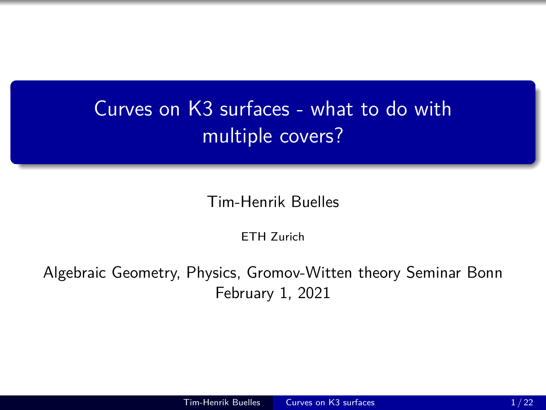# <span id="page-0-0"></span>Curves on K3 surfaces - what to do with multiple covers?

Tim-Henrik Buelles

ETH Zurich

Algebraic Geometry, Physics, Gromov-Witten theory Seminar Bonn February 1, 2021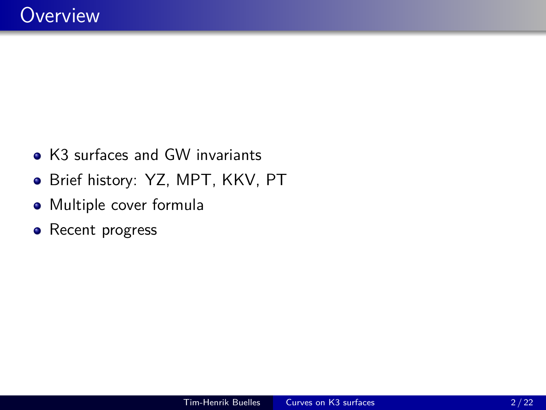- K3 surfaces and GW invariants
- Brief history: YZ, MPT, KKV, PT
- Multiple cover formula
- Recent progress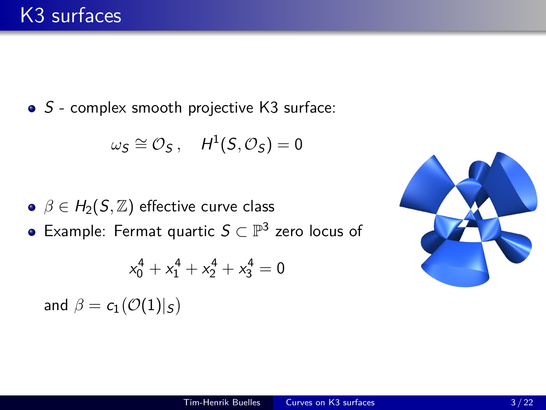• S - complex smooth projective K3 surface:

$$
\omega_S \cong \mathcal{O}_S\,,\quad H^1(S,\mathcal{O}_S) = 0
$$

- $\theta \in H_2(S, \mathbb{Z})$  effective curve class
- Example: Fermat quartic  $S \subset \mathbb{P}^3$  zero locus of

$$
x_0^4+x_1^4+x_2^4+x_3^4=0\\
$$

and  $\beta = c_1(\mathcal{O}(1)|_{\mathcal{S}})$ 

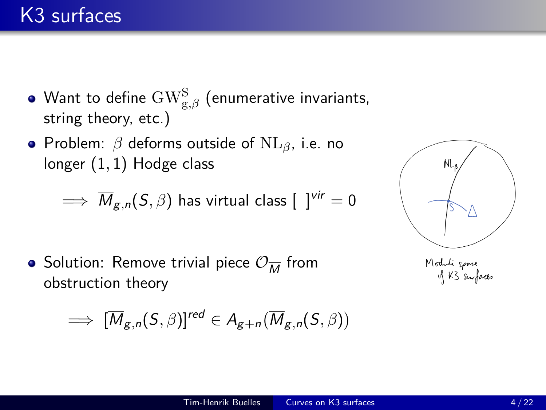- Want to define  $\text{GW}^\text{S}_{\text{g},\beta}$  (enumerative invariants, string theory, etc.)
- Problem: *β* deforms outside of NL*β*, i.e. no longer (1*,* 1) Hodge class

$$
\implies \overline{M}_{g,n}(S,\beta) \text{ has virtual class } [\;\;]^{vir}=0
$$

Solution: Remove trivial piece  $\mathcal{O}_{\overline{M}}$  from obstruction theory

$$
\implies [\overline{M}_{g,n}(S,\beta)]^{red} \in A_{g+n}(\overline{M}_{g,n}(S,\beta))
$$



Moduli space<br>of K3 surfaces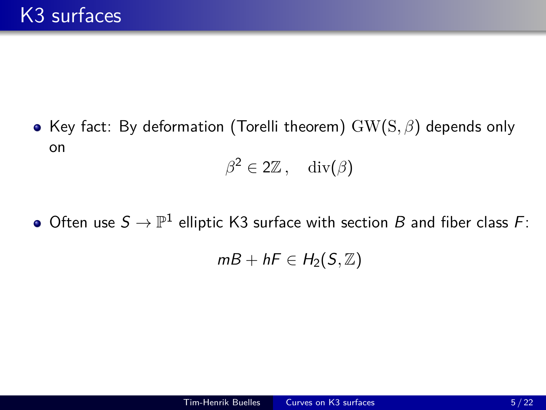• Key fact: By deformation (Torelli theorem)  $GW(S, β)$  depends only on

$$
\beta^2 \in 2\mathbb{Z}\,, \quad \mathrm{div}(\beta)
$$

Often use  $S\to \mathbb{P}^1$  elliptic K3 surface with section  $B$  and fiber class  $F\colon$ 

$$
mB + hF \in H_2(S, \mathbb{Z})
$$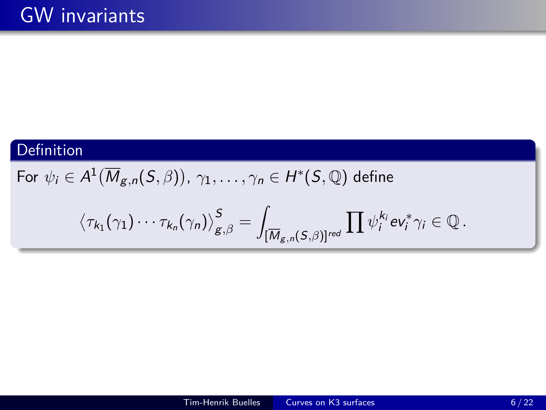# Definition

For  $\psi_i \in A^1(\overline{M}_{\mathcal{g}, n} (S, \beta))$ ,  $\gamma_1, \ldots, \gamma_n \in H^* (S, \mathbb{Q})$  define

$$
\left\langle \tau_{k_1}(\gamma_1)\cdots\tau_{k_n}(\gamma_n)\right\rangle^S_{g,\beta}=\int_{[\overline{M}_{g,n}(S,\beta)]^{red}}\prod \psi_i^{k_i} \text{ev}_i^*\gamma_i\in\mathbb{Q}\,.
$$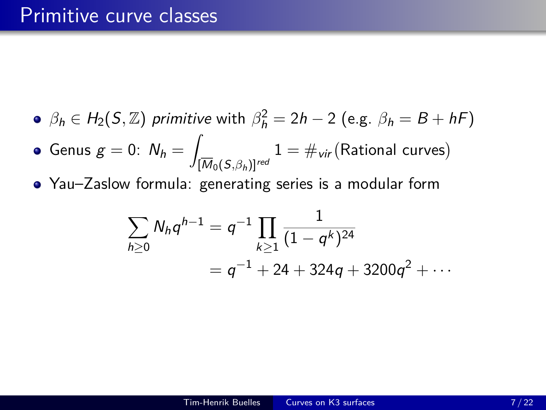- $\beta_h \in H_2(S, \mathbb{Z})$  primitive with  $\beta_h^2 = 2h 2$  (e.g.  $\beta_h = B + hF$ )
- Genus  $g = 0: N_h = 1$  $[M_0(S, \beta_h)]^{red}$  $1 = \#_{\mathsf{vir}}(\mathsf{Rational}~\mathsf{curves})$
- Yau–Zaslow formula: generating series is a modular form

$$
\sum_{h\geq 0} N_h q^{h-1} = q^{-1} \prod_{k\geq 1} \frac{1}{(1-q^k)^{24}}
$$
  
= q^{-1} + 24 + 324q + 3200q^2 + \cdots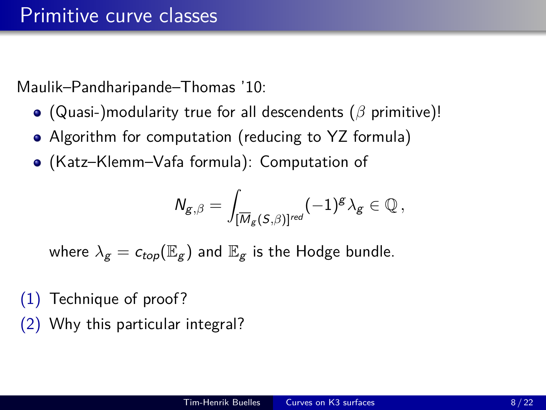Maulik–Pandharipande–Thomas '10:

- (Quasi-)modularity true for all descendents (*β* primitive)!
- Algorithm for computation (reducing to YZ formula)
- (Katz–Klemm–Vafa formula): Computation of

$$
\mathsf{N}_{\mathsf{g},\beta}=\int_{[\overline{\mathsf{M}}_{\mathsf{g}}(\mathsf{S},\beta)]^{red}}(-1)^{\mathsf{g}}\lambda_{\mathsf{g}}\in\mathbb{Q}\,,
$$

where  $\lambda_g = c_{top}(\mathbb{E}_g)$  and  $\mathbb{E}_g$  is the Hodge bundle.

- (1) Technique of proof?
- (2) Why this particular integral?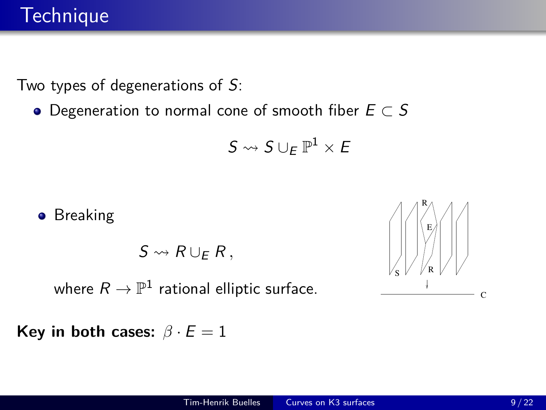Two types of degenerations of S:

 $\bullet$  Degeneration to normal cone of smooth fiber  $E \subset S$ 

$$
S\leadsto S\cup_E\mathbb{P}^1\times E
$$

**•** Breaking

 $S \rightsquigarrow R \cup_F R$ ,

where  $R\to \mathbb{P}^1$  rational elliptic surface.

**Key in both cases:**  $\beta \cdot E = 1$ 

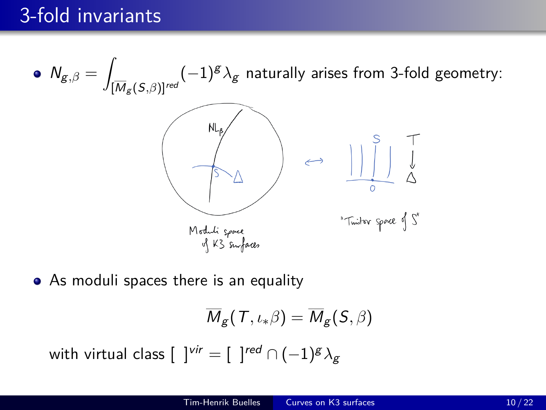$N_{g,\beta} =$  $(-1)^g \lambda_g$  naturally arises from 3-fold geometry:  $[\mathsf{M}_{\mathcal{g}}(\mathsf{S}{},\beta)]^{\mathsf{red}}$  $\leftrightarrow$   $||\qquad \qquad ||$ "Tinitor space of S" Moduli spore<br>of K3 surfaces

• As moduli spaces there is an equality

$$
\overline{M}_{\mathcal{g}}(\mathcal{T},\iota_*\beta)=\overline{M}_{\mathcal{g}}(\mathcal{S},\beta)
$$

with virtual class [  $\; \; ]^{vir}=[\; \; ]^{red}\cap(-1)^g \lambda_g$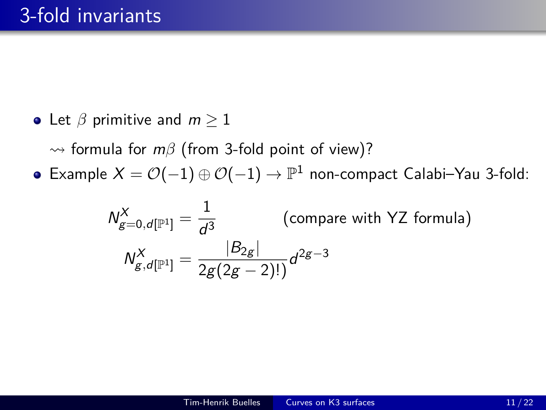• Let  $\beta$  primitive and  $m \geq 1$ 

 $\rightarrow$  formula for  $m\beta$  (from 3-fold point of view)?

Example  $X = \mathcal{O}(-1) \oplus \mathcal{O}(-1) \rightarrow \mathbb{P}^1$  non-compact Calabi–Yau 3-fold:

$$
N_{g=0,d[\mathbb{P}^1]}^X = \frac{1}{d^3}
$$
 (compare with YZ formula)  

$$
N_{g,d[\mathbb{P}^1]}^X = \frac{|B_{2g}|}{2g(2g-2)!}d^{2g-3}
$$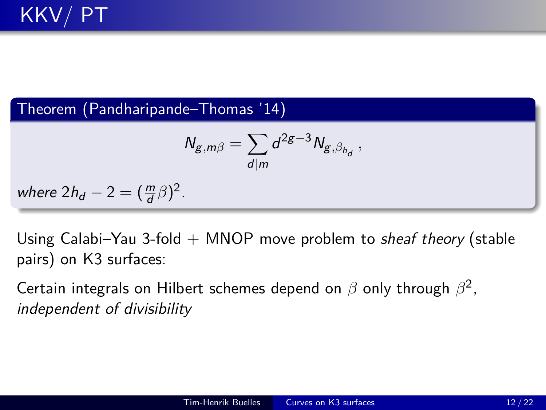Theorem (Pandharipande–Thomas '14)

$$
N_{g,m\beta}=\sum_{d|m}d^{2g-3}N_{g,\beta_{h_d}}\,,
$$

where  $2h_d - 2 = (\frac{m}{d}\beta)^2$ .

Using Calabi–Yau 3-fold  $+$  MNOP move problem to *sheaf theory* (stable pairs) on K3 surfaces:

Certain integrals on Hilbert schemes depend on *β* only through *β* 2 , independent of divisibility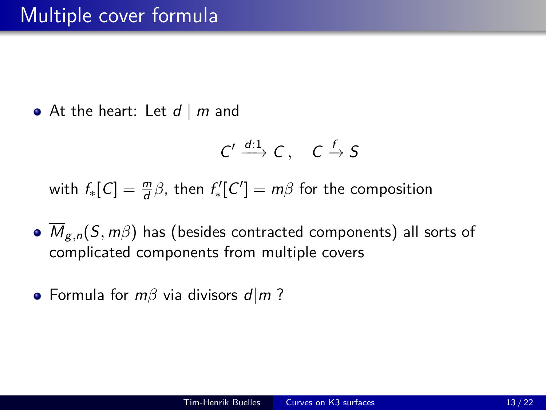• At the heart: Let  $d \mid m$  and

$$
C' \xrightarrow{d:1} C, \quad C \xrightarrow{f} S
$$

with  $f_*[C] = \frac{m}{d}\beta$ , then  $f'_*[C'] = m\beta$  for the composition

- Mg*,*n(S*,* m*β*) has (besides contracted components) all sorts of complicated components from multiple covers
- Formula for *mβ* via divisors *d*|*m*?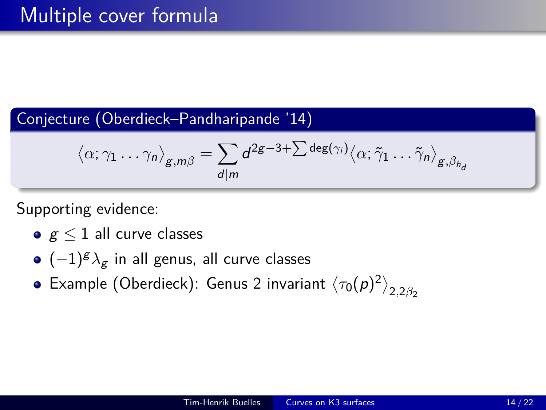# Conjecture (Oberdieck–Pandharipande '14)

$$
\langle \alpha; \gamma_1 \ldots \gamma_n \rangle_{g,m\beta} = \sum_{d \mid m} d^{2g-3+\sum \deg(\gamma_i)} \langle \alpha; \tilde{\gamma}_1 \ldots \tilde{\gamma}_n \rangle_{g,\beta_{h_d}}
$$

Supporting evidence:

- $g \leq 1$  all curve classes
- (−1) <sup>g</sup>*λ*<sup>g</sup> in all genus, all curve classes
- Example (Oberdieck): Genus 2 invariant  $\left<\tau_0(\rho)^2\right>_{2,2\beta_2}$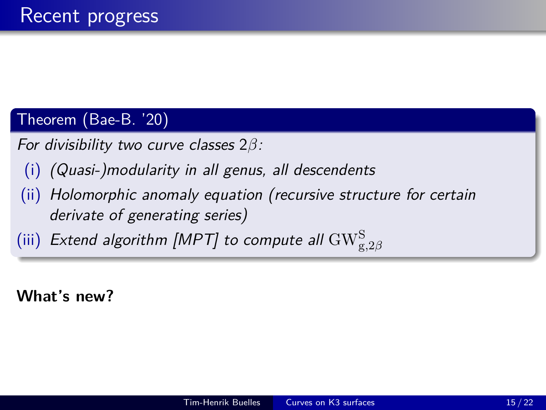# Theorem (Bae-B. '20)

For divisibility two curve classes 2*β*:

- (i) (Quasi-)modularity in all genus, all descendents
- (ii) Holomorphic anomaly equation (recursive structure for certain derivate of generating series)
- (iii) Extend algorithm [MPT] to compute all  $\mathrm{GW}_{\mathrm{g},2\beta}^{\mathrm{S}}$

**What's new?**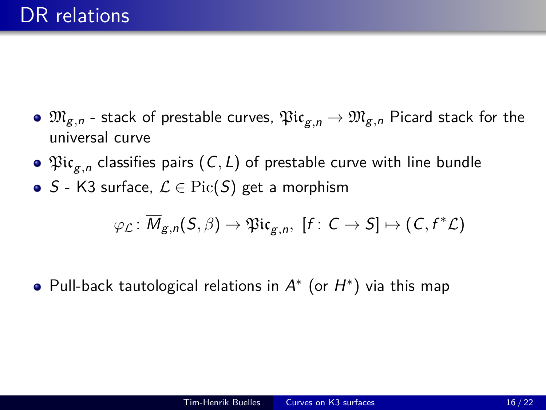- $\bullet$   $\mathfrak{M}_{g,n}$  stack of prestable curves,  $\mathfrak{Pic}_{g,n} \to \mathfrak{M}_{g,n}$  Picard stack for the universal curve
- $\mathfrak{Pic}_{g,n}$  classifies pairs  $(\mathsf{C},\mathsf{L})$  of prestable curve with line bundle
- S K3 surface,  $\mathcal{L} \in Pic(S)$  get a morphism

$$
\varphi_{\mathcal{L}}\colon \overline{M}_{g,n}(S,\beta) \to \mathfrak{Pic}_{g,n}, \ [f\colon C \to S] \mapsto (C, f^*\mathcal{L})
$$

Pull-back tautological relations in  $A^*$  (or  $H^*$ ) via this map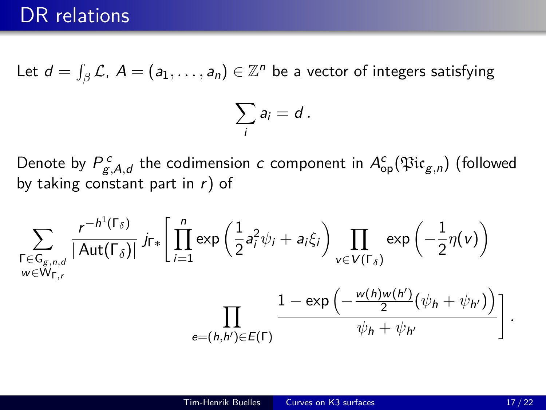Let  $d=\int_{\beta} \mathcal{L}$ ,  $A=(a_1,\ldots,a_n)\in \mathbb{Z}^n$  be a vector of integers satisfying

$$
\sum_i a_i = d\,.
$$

Denote by  $P^{\,c}_{g,A,d}$  the codimension  $c$  component in  $A^c_{\rm op}(\mathfrak{Pic}_{g,n})$  (followed by taking constant part in  $r$ ) of

$$
\sum_{\substack{\Gamma \in \mathsf{G}_{g,n,d} \\ w \in \mathsf{W}_{\Gamma,r}}} \frac{r^{-h^1(\Gamma_{\delta})}}{|\operatorname{Aut}(\Gamma_{\delta})|} j_{\Gamma*} \left[ \prod_{i=1}^n \exp\left(\frac{1}{2} a_i^2 \psi_i + a_i \xi_i\right) \prod_{v \in V(\Gamma_{\delta})} \exp\left(-\frac{1}{2} \eta(v)\right) \right]
$$

$$
= \prod_{e=(h,h') \in E(\Gamma)} \frac{1 - \exp\left(-\frac{w(h)w(h')}{2} (\psi_h + \psi_{h'})\right)}{\psi_h + \psi_{h'}}
$$

*.*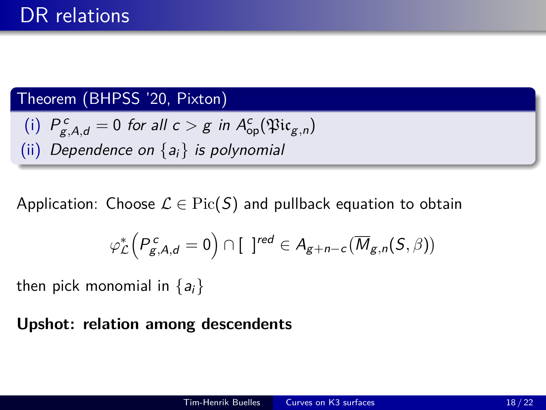## Theorem (BHPSS '20, Pixton)

\n- (i) 
$$
P_{g,A,d}^c = 0
$$
 for all  $c > g$  in  $A_{op}^c(\mathfrak{Pic}_{g,n})$
\n- (ii) *Dependence on*  $\{a_i\}$  is polynomial
\n

Application: Choose  $\mathcal{L} \in \text{Pic}(S)$  and pullback equation to obtain

$$
\varphi_{\mathcal{L}}^*\Big(P^{\,c}_{g,A,d}=0\Big)\cap [\ \, ]^{red}\in A_{g+n-c}\big(\overline{M}_{g,n}(S,\beta)\big)
$$

then pick monomial in  $\{a_i\}$ 

### **Upshot: relation among descendents**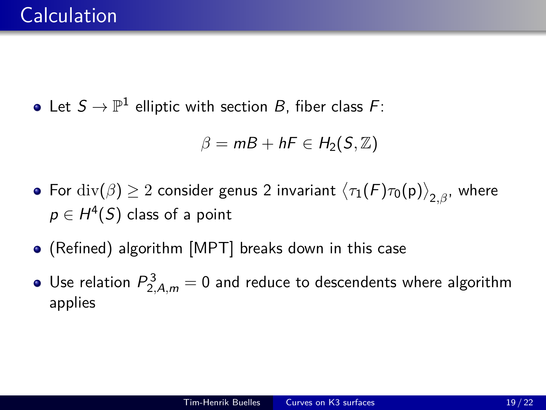Let  $S\to \mathbb{P}^1$  elliptic with section  $B$ , fiber class  $F$ :

$$
\beta=mB+hF\in H_2(S,\mathbb{Z})
$$

- $\mathsf{For} \; \mathrm{div}(\beta) \geq 2$  consider genus 2 invariant  $\big\langle \tau_1(\mathcal{F}) \tau_0(\mathsf{p}) \big\rangle_{2,\beta}$ , where  $\rho \in H^4(S)$  class of a point
- (Refined) algorithm [MPT] breaks down in this case
- Use relation  $P_{2,A,m}^3=0$  and reduce to descendents where algorithm applies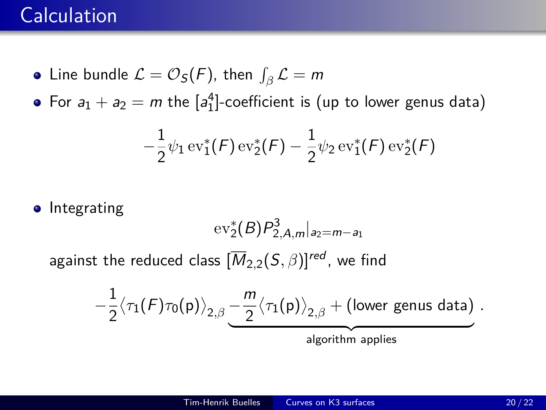# **Calculation**

- Line bundle  $\mathcal{L} = \mathcal{O}_{\mathcal{S}}(\mathcal{F}),$  then  $\int_{\beta} \mathcal{L} = m$
- For  $a_1 + a_2 = m$  the  $[a_1^4]$ -coefficient is (up to lower genus data)

$$
-\frac{1}{2}\psi_1\operatorname{ev}_1^*(F)\operatorname{ev}_2^*(F)-\frac{1}{2}\psi_2\operatorname{ev}_1^*(F)\operatorname{ev}_2^*(F)
$$

**•** Integrating

$$
\mathrm{ev}_2^*(B)P_{2,A,m}^3|_{a_2=m-a_1}
$$

against the reduced class  $[\overline{M}_{2,2}(S,\beta)]^{red}$ , we find

$$
-\frac{1}{2}\big\langle \tau_1(F) \tau_0(\mathsf{p}) \big\rangle_{2,\beta} \underbrace{-\frac{m}{2}\big\langle \tau_1(\mathsf{p}) \big\rangle_{2,\beta} + (\text{lower genus data})}_{\text{algorithm applies}} \,.
$$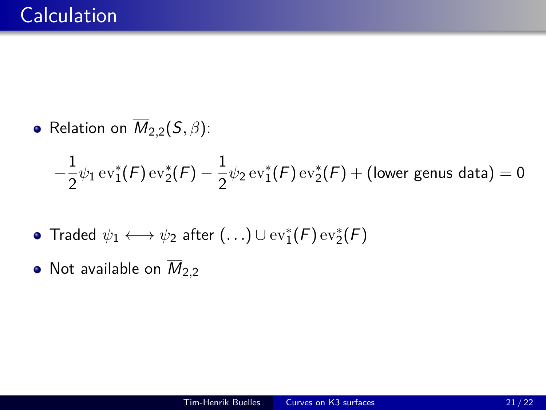• Relation on  $\overline{M}_{2,2}(S,\beta)$ :

$$
-\frac{1}{2}\psi_1\operatorname{ev}_1^*(\mathcal{F})\operatorname{ev}_2^*(\mathcal{F})-\frac{1}{2}\psi_2\operatorname{ev}_1^*(\mathcal{F})\operatorname{ev}_2^*(\mathcal{F})+(\text{lower genus data})=0
$$

- Traded  $\psi_1 \longleftrightarrow \psi_2$  after  $(\ldots) \cup \text{ev}_1^*(\mathcal{F}) \, \text{ev}_2^*(\mathcal{F})$
- Not available on  $\overline{M}_{2,2}$